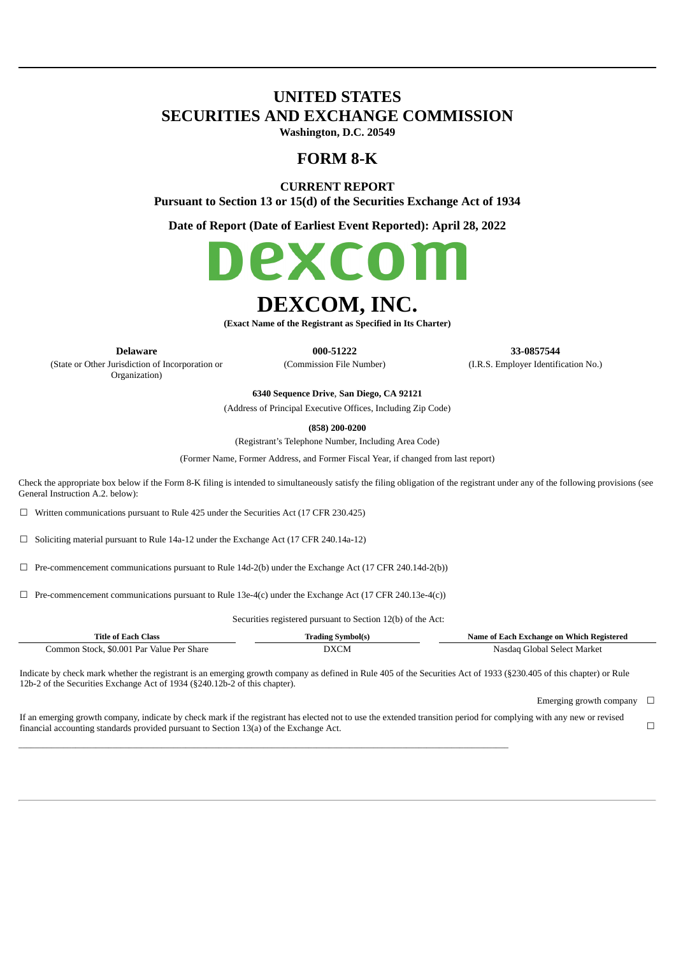# **UNITED STATES SECURITIES AND EXCHANGE COMMISSION**

**Washington, D.C. 20549**

# **FORM 8-K**

**CURRENT REPORT**

**Pursuant to Section 13 or 15(d) of the Securities Exchange Act of 1934**

**Date of Report (Date of Earliest Event Reported): April 28, 2022**



# **DEXCOM, INC.**

**(Exact Name of the Registrant as Specified in Its Charter)**

(State or Other Jurisdiction of Incorporation or

Organization)

**Delaware 000-51222 33-0857544** (Commission File Number) (I.R.S. Employer Identification No.)

**6340 Sequence Drive**, **San Diego, CA 92121**

(Address of Principal Executive Offices, Including Zip Code)

**(858) 200-0200**

(Registrant's Telephone Number, Including Area Code)

(Former Name, Former Address, and Former Fiscal Year, if changed from last report)

Check the appropriate box below if the Form 8-K filing is intended to simultaneously satisfy the filing obligation of the registrant under any of the following provisions (see General Instruction A.2. below):

 $\Box$  Written communications pursuant to Rule 425 under the Securities Act (17 CFR 230.425)

☐ Soliciting material pursuant to Rule 14a-12 under the Exchange Act (17 CFR 240.14a-12)

 $\Box$  Pre-commencement communications pursuant to Rule 14d-2(b) under the Exchange Act (17 CFR 240.14d-2(b))

☐ Pre-commencement communications pursuant to Rule 13e-4(c) under the Exchange Act (17 CFR 240.13e-4(c))

\_\_\_\_\_\_\_\_\_\_\_\_\_\_\_\_\_\_\_\_\_\_\_\_\_\_\_\_\_\_\_\_\_\_\_\_\_\_\_\_\_\_\_\_\_\_\_\_\_\_\_\_\_\_\_\_\_\_\_\_\_\_\_\_\_\_\_\_\_\_\_\_\_\_\_\_\_\_\_\_\_\_\_\_\_\_\_\_\_\_\_\_\_\_\_\_\_\_\_\_\_\_\_\_\_\_\_\_\_\_\_\_\_\_\_\_\_\_\_\_

Securities registered pursuant to Section 12(b) of the Act:

| Title of Each Class                       | Trading Symbol(s) |                             |
|-------------------------------------------|-------------------|-----------------------------|
| Common Stock, \$0.001 Par Value Per Share | DXCM              | Nasdag Global Select Market |

Indicate by check mark whether the registrant is an emerging growth company as defined in Rule 405 of the Securities Act of 1933 (§230.405 of this chapter) or Rule 12b-2 of the Securities Exchange Act of 1934 (§240.12b-2 of this chapter).

Emerging growth company  $\Box$ 

If an emerging growth company, indicate by check mark if the registrant has elected not to use the extended transition period for complying with any new or revised financial accounting standards provided pursuant to Section 13(a) of the Exchange Act. □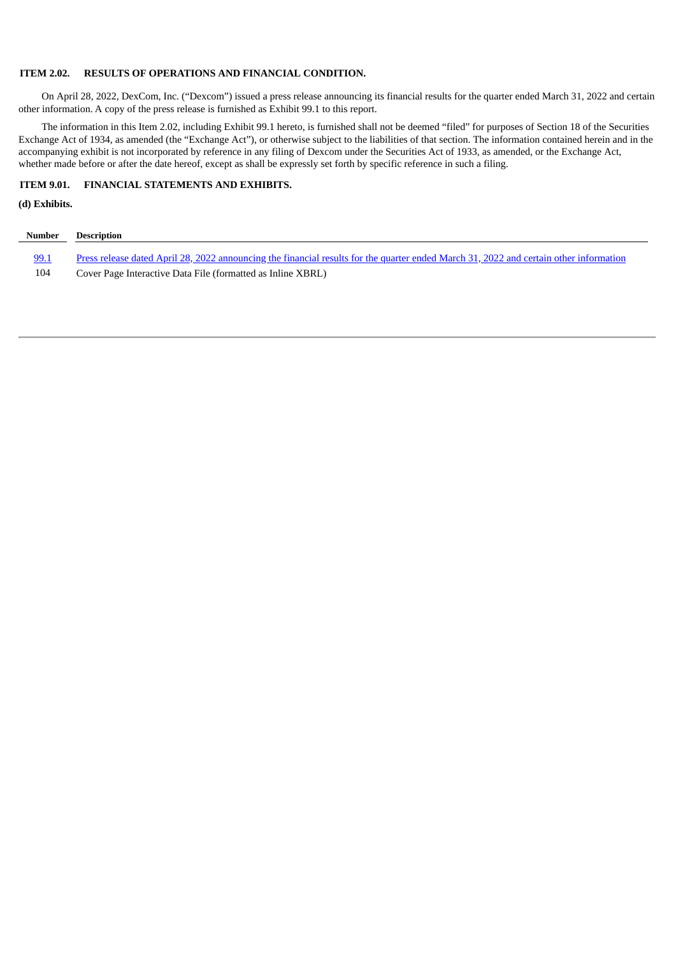#### **ITEM 2.02. RESULTS OF OPERATIONS AND FINANCIAL CONDITION.**

On April 28, 2022, DexCom, Inc. ("Dexcom") issued a press release announcing its financial results for the quarter ended March 31, 2022 and certain other information. A copy of the press release is furnished as Exhibit 99.1 to this report.

The information in this Item 2.02, including Exhibit 99.1 hereto, is furnished shall not be deemed "filed" for purposes of Section 18 of the Securities Exchange Act of 1934, as amended (the "Exchange Act"), or otherwise subject to the liabilities of that section. The information contained herein and in the accompanying exhibit is not incorporated by reference in any filing of Dexcom under the Securities Act of 1933, as amended, or the Exchange Act, whether made before or after the date hereof, except as shall be expressly set forth by specific reference in such a filing.

# **ITEM 9.01. FINANCIAL STATEMENTS AND EXHIBITS.**

#### **(d) Exhibits.**

| Number      | Description                                                                                                                            |
|-------------|----------------------------------------------------------------------------------------------------------------------------------------|
| <u>99.1</u> | Press release dated April 28, 2022 announcing the financial results for the quarter ended March 31, 2022 and certain other information |
| 104         | Cover Page Interactive Data File (formatted as Inline XBRL)                                                                            |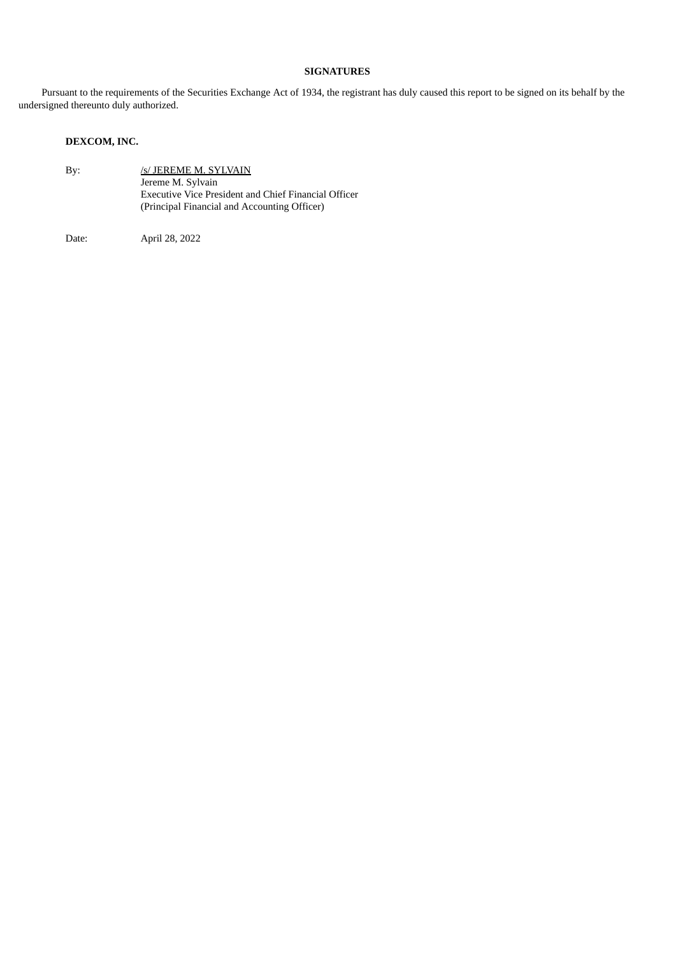# **SIGNATURES**

Pursuant to the requirements of the Securities Exchange Act of 1934, the registrant has duly caused this report to be signed on its behalf by the undersigned thereunto duly authorized.

# **DEXCOM, INC.**

| By: | /s/ JEREME M. SYLVAIN                                |
|-----|------------------------------------------------------|
|     | Jereme M. Sylvain                                    |
|     | Executive Vice President and Chief Financial Officer |
|     | (Principal Financial and Accounting Officer)         |

Date: April 28, 2022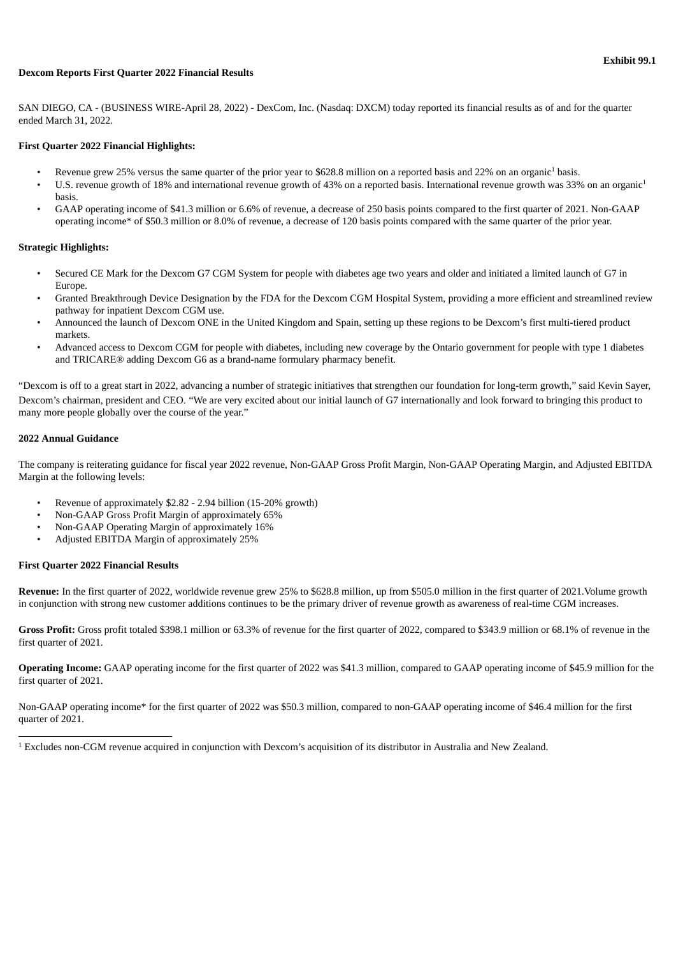#### <span id="page-3-0"></span>**Dexcom Reports First Quarter 2022 Financial Results**

SAN DIEGO, CA - (BUSINESS WIRE-April 28, 2022) - DexCom, Inc. (Nasdaq: DXCM) today reported its financial results as of and for the quarter ended March 31, 2022.

#### **First Quarter 2022 Financial Highlights:**

- Revenue grew 25% versus the same quarter of the prior year to \$628.8 million on a reported basis and 22% on an organic<sup>1</sup> basis.
- U.S. revenue growth of 18% and international revenue growth of 43% on a reported basis. International revenue growth was 33% on an organic<sup>1</sup> basis.
- GAAP operating income of \$41.3 million or 6.6% of revenue, a decrease of 250 basis points compared to the first quarter of 2021. Non-GAAP operating income\* of \$50.3 million or 8.0% of revenue, a decrease of 120 basis points compared with the same quarter of the prior year.

#### **Strategic Highlights:**

- Secured CE Mark for the Dexcom G7 CGM System for people with diabetes age two years and older and initiated a limited launch of G7 in Europe.
- Granted Breakthrough Device Designation by the FDA for the Dexcom CGM Hospital System, providing a more efficient and streamlined review pathway for inpatient Dexcom CGM use.
- Announced the launch of Dexcom ONE in the United Kingdom and Spain, setting up these regions to be Dexcom's first multi-tiered product markets.
- Advanced access to Dexcom CGM for people with diabetes, including new coverage by the Ontario government for people with type 1 diabetes and TRICARE® adding Dexcom G6 as a brand-name formulary pharmacy benefit.

"Dexcom is off to a great start in 2022, advancing a number of strategic initiatives that strengthen our foundation for long-term growth," said Kevin Sayer, Dexcom's chairman, president and CEO. "We are very excited about our initial launch of G7 internationally and look forward to bringing this product to many more people globally over the course of the year."

#### **2022 Annual Guidance**

The company is reiterating guidance for fiscal year 2022 revenue, Non-GAAP Gross Profit Margin, Non-GAAP Operating Margin, and Adjusted EBITDA Margin at the following levels:

- Revenue of approximately \$2.82 2.94 billion (15-20% growth)
- Non-GAAP Gross Profit Margin of approximately 65%
- Non-GAAP Operating Margin of approximately 16%
- Adjusted EBITDA Margin of approximately 25%

#### **First Quarter 2022 Financial Results**

**Revenue:** In the first quarter of 2022, worldwide revenue grew 25% to \$628.8 million, up from \$505.0 million in the first quarter of 2021.Volume growth in conjunction with strong new customer additions continues to be the primary driver of revenue growth as awareness of real-time CGM increases.

**Gross Profit:** Gross profit totaled \$398.1 million or 63.3% of revenue for the first quarter of 2022, compared to \$343.9 million or 68.1% of revenue in the first quarter of 2021.

**Operating Income:** GAAP operating income for the first quarter of 2022 was \$41.3 million, compared to GAAP operating income of \$45.9 million for the first quarter of 2021.

Non-GAAP operating income\* for the first quarter of 2022 was \$50.3 million, compared to non-GAAP operating income of \$46.4 million for the first quarter of 2021.

 $1$  Excludes non-CGM revenue acquired in conjunction with Dexcom's acquisition of its distributor in Australia and New Zealand.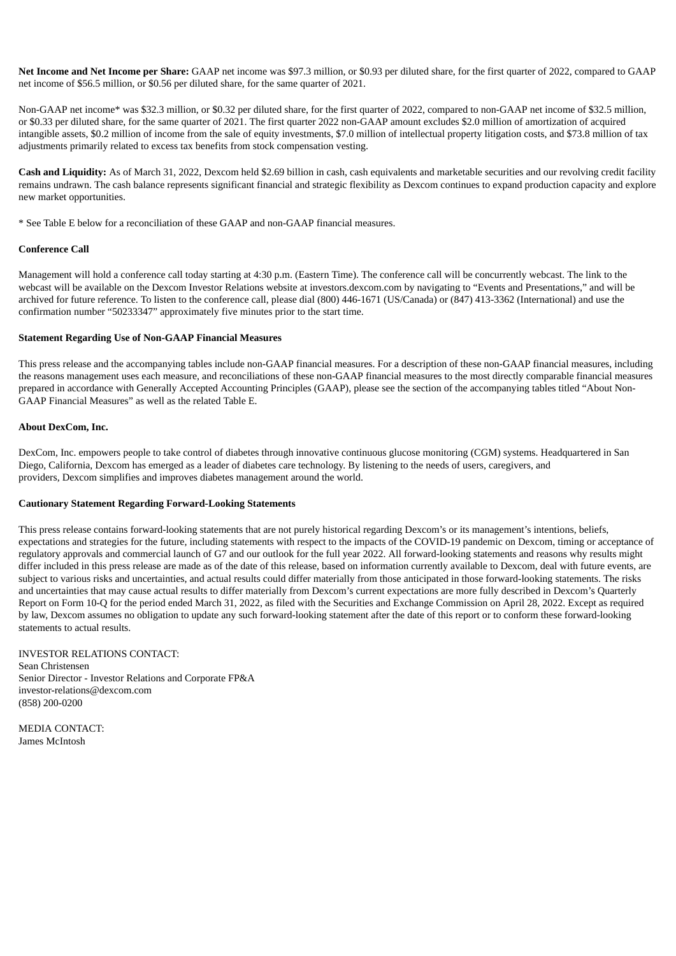**Net Income and Net Income per Share:** GAAP net income was \$97.3 million, or \$0.93 per diluted share, for the first quarter of 2022, compared to GAAP net income of \$56.5 million, or \$0.56 per diluted share, for the same quarter of 2021.

Non-GAAP net income\* was \$32.3 million, or \$0.32 per diluted share, for the first quarter of 2022, compared to non-GAAP net income of \$32.5 million, or \$0.33 per diluted share, for the same quarter of 2021. The first quarter 2022 non-GAAP amount excludes \$2.0 million of amortization of acquired intangible assets, \$0.2 million of income from the sale of equity investments, \$7.0 million of intellectual property litigation costs, and \$73.8 million of tax adjustments primarily related to excess tax benefits from stock compensation vesting.

**Cash and Liquidity:** As of March 31, 2022, Dexcom held \$2.69 billion in cash, cash equivalents and marketable securities and our revolving credit facility remains undrawn. The cash balance represents significant financial and strategic flexibility as Dexcom continues to expand production capacity and explore new market opportunities.

\* See Table E below for a reconciliation of these GAAP and non-GAAP financial measures.

#### **Conference Call**

Management will hold a conference call today starting at 4:30 p.m. (Eastern Time). The conference call will be concurrently webcast. The link to the webcast will be available on the Dexcom Investor Relations website at investors.dexcom.com by navigating to "Events and Presentations," and will be archived for future reference. To listen to the conference call, please dial (800) 446-1671 (US/Canada) or (847) 413-3362 (International) and use the confirmation number "50233347" approximately five minutes prior to the start time.

#### **Statement Regarding Use of Non-GAAP Financial Measures**

This press release and the accompanying tables include non-GAAP financial measures. For a description of these non-GAAP financial measures, including the reasons management uses each measure, and reconciliations of these non-GAAP financial measures to the most directly comparable financial measures prepared in accordance with Generally Accepted Accounting Principles (GAAP), please see the section of the accompanying tables titled "About Non-GAAP Financial Measures" as well as the related Table E.

#### **About DexCom, Inc.**

DexCom, Inc. empowers people to take control of diabetes through innovative continuous glucose monitoring (CGM) systems. Headquartered in San Diego, California, Dexcom has emerged as a leader of diabetes care technology. By listening to the needs of users, caregivers, and providers, Dexcom simplifies and improves diabetes management around the world.

#### **Cautionary Statement Regarding Forward-Looking Statements**

This press release contains forward-looking statements that are not purely historical regarding Dexcom's or its management's intentions, beliefs, expectations and strategies for the future, including statements with respect to the impacts of the COVID-19 pandemic on Dexcom, timing or acceptance of regulatory approvals and commercial launch of G7 and our outlook for the full year 2022. All forward-looking statements and reasons why results might differ included in this press release are made as of the date of this release, based on information currently available to Dexcom, deal with future events, are subject to various risks and uncertainties, and actual results could differ materially from those anticipated in those forward-looking statements. The risks and uncertainties that may cause actual results to differ materially from Dexcom's current expectations are more fully described in Dexcom's Quarterly Report on Form 10-Q for the period ended March 31, 2022, as filed with the Securities and Exchange Commission on April 28, 2022. Except as required by law, Dexcom assumes no obligation to update any such forward-looking statement after the date of this report or to conform these forward-looking statements to actual results.

INVESTOR RELATIONS CONTACT: Sean Christensen Senior Director - Investor Relations and Corporate FP&A investor-relations@dexcom.com (858) 200-0200

MEDIA CONTACT: James McIntosh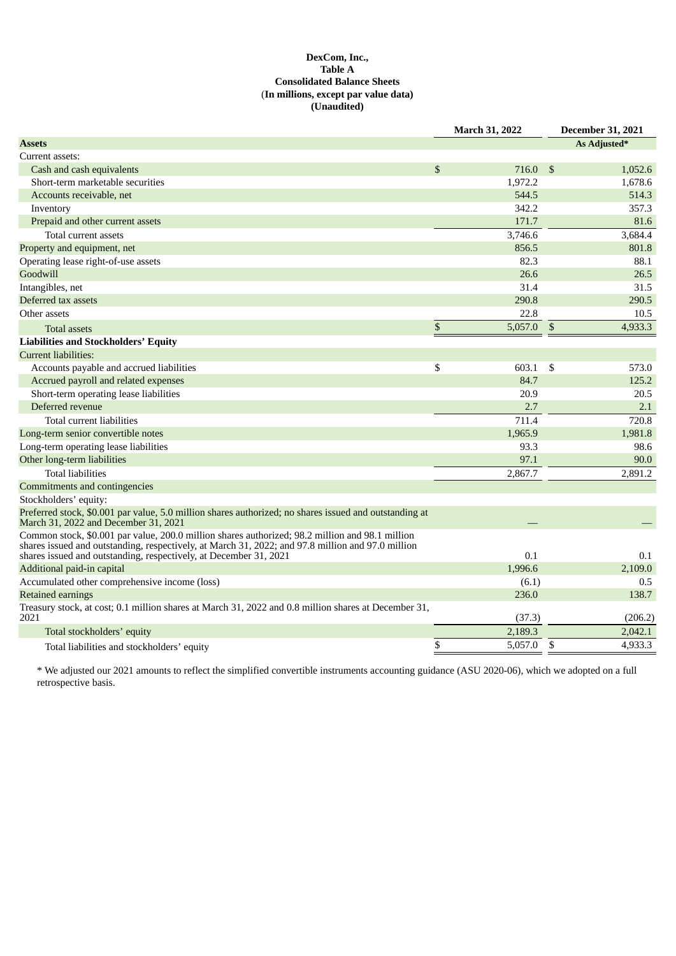# **DexCom, Inc., Table A Consolidated Balance Sheets** (**In millions, except par value data) (Unaudited)**

| <b>Assets</b><br>As Adjusted*<br>Current assets:<br>\$<br>716.0<br>\$<br>1.052.6<br>Cash and cash equivalents<br>Short-term marketable securities<br>1,972.2<br>1,678.6<br>544.5<br>514.3<br>Accounts receivable, net<br>342.2<br>357.3<br>Inventory<br>171.7<br>Prepaid and other current assets<br>81.6<br>3,684.4<br>3,746.6<br>Total current assets<br>856.5<br>801.8<br>82.3<br>88.1<br>26.6<br>26.5<br>31.4<br>31.5<br>290.8<br>Deferred tax assets<br>290.5<br>22.8<br>Other assets<br>10.5<br>\$<br>5,057.0<br>\$<br>4,933.3<br><b>Total assets</b><br><b>Liabilities and Stockholders' Equity</b><br><b>Current liabilities:</b><br>Accounts payable and accrued liabilities<br>\$<br>603.1<br>\$<br>573.0<br>84.7<br>Accrued payroll and related expenses<br>125.2<br>Short-term operating lease liabilities<br>20.9<br>20.5<br>Deferred revenue<br>2.7<br>2.1<br>720.8<br>Total current liabilities<br>711.4<br>1,981.8<br>1,965.9<br>93.3<br>98.6<br>97.1<br>90.0<br><b>Total liabilities</b><br>2,867.7<br>2,891.2<br>0.1<br>0.1<br>shares issued and outstanding, respectively, at December 31, 2021<br>1,996.6<br>Additional paid-in capital<br>2,109.0<br>Accumulated other comprehensive income (loss)<br>0.5<br>(6.1)<br>236.0<br>138.7<br><b>Retained earnings</b><br>Treasury stock, at cost; 0.1 million shares at March 31, 2022 and 0.8 million shares at December 31,<br>2021<br>(37.3)<br>(206.2)<br>2,189.3<br>2.042.1<br>Total stockholders' equity<br>\$<br>4,933.3<br>5,057.0<br>\$<br>Total liabilities and stockholders' equity |                                                                                                                                                                                                      | March 31, 2022 |  | <b>December 31, 2021</b> |  |  |
|----------------------------------------------------------------------------------------------------------------------------------------------------------------------------------------------------------------------------------------------------------------------------------------------------------------------------------------------------------------------------------------------------------------------------------------------------------------------------------------------------------------------------------------------------------------------------------------------------------------------------------------------------------------------------------------------------------------------------------------------------------------------------------------------------------------------------------------------------------------------------------------------------------------------------------------------------------------------------------------------------------------------------------------------------------------------------------------------------------------------------------------------------------------------------------------------------------------------------------------------------------------------------------------------------------------------------------------------------------------------------------------------------------------------------------------------------------------------------------------------------------------------------------------------------------------|------------------------------------------------------------------------------------------------------------------------------------------------------------------------------------------------------|----------------|--|--------------------------|--|--|
|                                                                                                                                                                                                                                                                                                                                                                                                                                                                                                                                                                                                                                                                                                                                                                                                                                                                                                                                                                                                                                                                                                                                                                                                                                                                                                                                                                                                                                                                                                                                                                |                                                                                                                                                                                                      |                |  |                          |  |  |
|                                                                                                                                                                                                                                                                                                                                                                                                                                                                                                                                                                                                                                                                                                                                                                                                                                                                                                                                                                                                                                                                                                                                                                                                                                                                                                                                                                                                                                                                                                                                                                |                                                                                                                                                                                                      |                |  |                          |  |  |
|                                                                                                                                                                                                                                                                                                                                                                                                                                                                                                                                                                                                                                                                                                                                                                                                                                                                                                                                                                                                                                                                                                                                                                                                                                                                                                                                                                                                                                                                                                                                                                |                                                                                                                                                                                                      |                |  |                          |  |  |
|                                                                                                                                                                                                                                                                                                                                                                                                                                                                                                                                                                                                                                                                                                                                                                                                                                                                                                                                                                                                                                                                                                                                                                                                                                                                                                                                                                                                                                                                                                                                                                |                                                                                                                                                                                                      |                |  |                          |  |  |
|                                                                                                                                                                                                                                                                                                                                                                                                                                                                                                                                                                                                                                                                                                                                                                                                                                                                                                                                                                                                                                                                                                                                                                                                                                                                                                                                                                                                                                                                                                                                                                |                                                                                                                                                                                                      |                |  |                          |  |  |
|                                                                                                                                                                                                                                                                                                                                                                                                                                                                                                                                                                                                                                                                                                                                                                                                                                                                                                                                                                                                                                                                                                                                                                                                                                                                                                                                                                                                                                                                                                                                                                |                                                                                                                                                                                                      |                |  |                          |  |  |
|                                                                                                                                                                                                                                                                                                                                                                                                                                                                                                                                                                                                                                                                                                                                                                                                                                                                                                                                                                                                                                                                                                                                                                                                                                                                                                                                                                                                                                                                                                                                                                |                                                                                                                                                                                                      |                |  |                          |  |  |
|                                                                                                                                                                                                                                                                                                                                                                                                                                                                                                                                                                                                                                                                                                                                                                                                                                                                                                                                                                                                                                                                                                                                                                                                                                                                                                                                                                                                                                                                                                                                                                |                                                                                                                                                                                                      |                |  |                          |  |  |
|                                                                                                                                                                                                                                                                                                                                                                                                                                                                                                                                                                                                                                                                                                                                                                                                                                                                                                                                                                                                                                                                                                                                                                                                                                                                                                                                                                                                                                                                                                                                                                | Property and equipment, net                                                                                                                                                                          |                |  |                          |  |  |
|                                                                                                                                                                                                                                                                                                                                                                                                                                                                                                                                                                                                                                                                                                                                                                                                                                                                                                                                                                                                                                                                                                                                                                                                                                                                                                                                                                                                                                                                                                                                                                | Operating lease right-of-use assets                                                                                                                                                                  |                |  |                          |  |  |
|                                                                                                                                                                                                                                                                                                                                                                                                                                                                                                                                                                                                                                                                                                                                                                                                                                                                                                                                                                                                                                                                                                                                                                                                                                                                                                                                                                                                                                                                                                                                                                | Goodwill                                                                                                                                                                                             |                |  |                          |  |  |
|                                                                                                                                                                                                                                                                                                                                                                                                                                                                                                                                                                                                                                                                                                                                                                                                                                                                                                                                                                                                                                                                                                                                                                                                                                                                                                                                                                                                                                                                                                                                                                | Intangibles, net                                                                                                                                                                                     |                |  |                          |  |  |
|                                                                                                                                                                                                                                                                                                                                                                                                                                                                                                                                                                                                                                                                                                                                                                                                                                                                                                                                                                                                                                                                                                                                                                                                                                                                                                                                                                                                                                                                                                                                                                |                                                                                                                                                                                                      |                |  |                          |  |  |
|                                                                                                                                                                                                                                                                                                                                                                                                                                                                                                                                                                                                                                                                                                                                                                                                                                                                                                                                                                                                                                                                                                                                                                                                                                                                                                                                                                                                                                                                                                                                                                |                                                                                                                                                                                                      |                |  |                          |  |  |
|                                                                                                                                                                                                                                                                                                                                                                                                                                                                                                                                                                                                                                                                                                                                                                                                                                                                                                                                                                                                                                                                                                                                                                                                                                                                                                                                                                                                                                                                                                                                                                |                                                                                                                                                                                                      |                |  |                          |  |  |
|                                                                                                                                                                                                                                                                                                                                                                                                                                                                                                                                                                                                                                                                                                                                                                                                                                                                                                                                                                                                                                                                                                                                                                                                                                                                                                                                                                                                                                                                                                                                                                |                                                                                                                                                                                                      |                |  |                          |  |  |
|                                                                                                                                                                                                                                                                                                                                                                                                                                                                                                                                                                                                                                                                                                                                                                                                                                                                                                                                                                                                                                                                                                                                                                                                                                                                                                                                                                                                                                                                                                                                                                |                                                                                                                                                                                                      |                |  |                          |  |  |
|                                                                                                                                                                                                                                                                                                                                                                                                                                                                                                                                                                                                                                                                                                                                                                                                                                                                                                                                                                                                                                                                                                                                                                                                                                                                                                                                                                                                                                                                                                                                                                |                                                                                                                                                                                                      |                |  |                          |  |  |
|                                                                                                                                                                                                                                                                                                                                                                                                                                                                                                                                                                                                                                                                                                                                                                                                                                                                                                                                                                                                                                                                                                                                                                                                                                                                                                                                                                                                                                                                                                                                                                |                                                                                                                                                                                                      |                |  |                          |  |  |
|                                                                                                                                                                                                                                                                                                                                                                                                                                                                                                                                                                                                                                                                                                                                                                                                                                                                                                                                                                                                                                                                                                                                                                                                                                                                                                                                                                                                                                                                                                                                                                |                                                                                                                                                                                                      |                |  |                          |  |  |
|                                                                                                                                                                                                                                                                                                                                                                                                                                                                                                                                                                                                                                                                                                                                                                                                                                                                                                                                                                                                                                                                                                                                                                                                                                                                                                                                                                                                                                                                                                                                                                |                                                                                                                                                                                                      |                |  |                          |  |  |
|                                                                                                                                                                                                                                                                                                                                                                                                                                                                                                                                                                                                                                                                                                                                                                                                                                                                                                                                                                                                                                                                                                                                                                                                                                                                                                                                                                                                                                                                                                                                                                |                                                                                                                                                                                                      |                |  |                          |  |  |
|                                                                                                                                                                                                                                                                                                                                                                                                                                                                                                                                                                                                                                                                                                                                                                                                                                                                                                                                                                                                                                                                                                                                                                                                                                                                                                                                                                                                                                                                                                                                                                | Long-term senior convertible notes                                                                                                                                                                   |                |  |                          |  |  |
|                                                                                                                                                                                                                                                                                                                                                                                                                                                                                                                                                                                                                                                                                                                                                                                                                                                                                                                                                                                                                                                                                                                                                                                                                                                                                                                                                                                                                                                                                                                                                                | Long-term operating lease liabilities                                                                                                                                                                |                |  |                          |  |  |
|                                                                                                                                                                                                                                                                                                                                                                                                                                                                                                                                                                                                                                                                                                                                                                                                                                                                                                                                                                                                                                                                                                                                                                                                                                                                                                                                                                                                                                                                                                                                                                | Other long-term liabilities                                                                                                                                                                          |                |  |                          |  |  |
|                                                                                                                                                                                                                                                                                                                                                                                                                                                                                                                                                                                                                                                                                                                                                                                                                                                                                                                                                                                                                                                                                                                                                                                                                                                                                                                                                                                                                                                                                                                                                                |                                                                                                                                                                                                      |                |  |                          |  |  |
|                                                                                                                                                                                                                                                                                                                                                                                                                                                                                                                                                                                                                                                                                                                                                                                                                                                                                                                                                                                                                                                                                                                                                                                                                                                                                                                                                                                                                                                                                                                                                                | Commitments and contingencies                                                                                                                                                                        |                |  |                          |  |  |
|                                                                                                                                                                                                                                                                                                                                                                                                                                                                                                                                                                                                                                                                                                                                                                                                                                                                                                                                                                                                                                                                                                                                                                                                                                                                                                                                                                                                                                                                                                                                                                | Stockholders' equity:                                                                                                                                                                                |                |  |                          |  |  |
|                                                                                                                                                                                                                                                                                                                                                                                                                                                                                                                                                                                                                                                                                                                                                                                                                                                                                                                                                                                                                                                                                                                                                                                                                                                                                                                                                                                                                                                                                                                                                                | Preferred stock, \$0.001 par value, 5.0 million shares authorized; no shares issued and outstanding at<br>March 31, 2022 and December 31, 2021                                                       |                |  |                          |  |  |
|                                                                                                                                                                                                                                                                                                                                                                                                                                                                                                                                                                                                                                                                                                                                                                                                                                                                                                                                                                                                                                                                                                                                                                                                                                                                                                                                                                                                                                                                                                                                                                | Common stock, \$0.001 par value, 200.0 million shares authorized; 98.2 million and 98.1 million<br>shares issued and outstanding, respectively, at March 31, 2022; and 97.8 million and 97.0 million |                |  |                          |  |  |
|                                                                                                                                                                                                                                                                                                                                                                                                                                                                                                                                                                                                                                                                                                                                                                                                                                                                                                                                                                                                                                                                                                                                                                                                                                                                                                                                                                                                                                                                                                                                                                |                                                                                                                                                                                                      |                |  |                          |  |  |
|                                                                                                                                                                                                                                                                                                                                                                                                                                                                                                                                                                                                                                                                                                                                                                                                                                                                                                                                                                                                                                                                                                                                                                                                                                                                                                                                                                                                                                                                                                                                                                |                                                                                                                                                                                                      |                |  |                          |  |  |
|                                                                                                                                                                                                                                                                                                                                                                                                                                                                                                                                                                                                                                                                                                                                                                                                                                                                                                                                                                                                                                                                                                                                                                                                                                                                                                                                                                                                                                                                                                                                                                |                                                                                                                                                                                                      |                |  |                          |  |  |
|                                                                                                                                                                                                                                                                                                                                                                                                                                                                                                                                                                                                                                                                                                                                                                                                                                                                                                                                                                                                                                                                                                                                                                                                                                                                                                                                                                                                                                                                                                                                                                |                                                                                                                                                                                                      |                |  |                          |  |  |
|                                                                                                                                                                                                                                                                                                                                                                                                                                                                                                                                                                                                                                                                                                                                                                                                                                                                                                                                                                                                                                                                                                                                                                                                                                                                                                                                                                                                                                                                                                                                                                |                                                                                                                                                                                                      |                |  |                          |  |  |
|                                                                                                                                                                                                                                                                                                                                                                                                                                                                                                                                                                                                                                                                                                                                                                                                                                                                                                                                                                                                                                                                                                                                                                                                                                                                                                                                                                                                                                                                                                                                                                |                                                                                                                                                                                                      |                |  |                          |  |  |
|                                                                                                                                                                                                                                                                                                                                                                                                                                                                                                                                                                                                                                                                                                                                                                                                                                                                                                                                                                                                                                                                                                                                                                                                                                                                                                                                                                                                                                                                                                                                                                |                                                                                                                                                                                                      |                |  |                          |  |  |

\* We adjusted our 2021 amounts to reflect the simplified convertible instruments accounting guidance (ASU 2020-06), which we adopted on a full retrospective basis.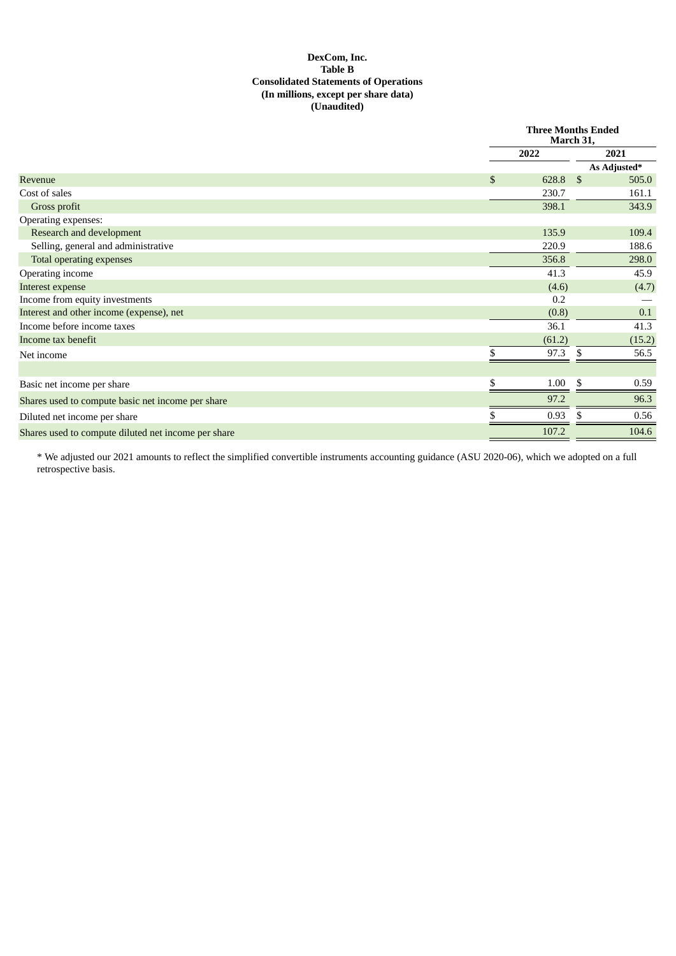## **DexCom, Inc. Table B Consolidated Statements of Operations (In millions, except per share data) (Unaudited)**

|                                                     |                | <b>Three Months Ended</b><br>March 31, |      |              |  |
|-----------------------------------------------------|----------------|----------------------------------------|------|--------------|--|
|                                                     |                | 2022                                   |      | 2021         |  |
|                                                     |                |                                        |      | As Adjusted* |  |
| Revenue                                             | $\mathfrak{S}$ | 628.8                                  | - \$ | 505.0        |  |
| Cost of sales                                       |                | 230.7                                  |      | 161.1        |  |
| Gross profit                                        |                | 398.1                                  |      | 343.9        |  |
| Operating expenses:                                 |                |                                        |      |              |  |
| <b>Research and development</b>                     |                | 135.9                                  |      | 109.4        |  |
| Selling, general and administrative                 |                | 220.9                                  |      | 188.6        |  |
| Total operating expenses                            |                | 356.8                                  |      | 298.0        |  |
| Operating income                                    |                | 41.3                                   |      | 45.9         |  |
| Interest expense                                    |                | (4.6)                                  |      | (4.7)        |  |
| Income from equity investments                      |                | 0.2                                    |      |              |  |
| Interest and other income (expense), net            |                | (0.8)                                  |      | 0.1          |  |
| Income before income taxes                          |                | 36.1                                   |      | 41.3         |  |
| Income tax benefit                                  |                | (61.2)                                 |      | (15.2)       |  |
| Net income                                          | \$             | 97.3                                   | \$   | 56.5         |  |
|                                                     |                |                                        |      |              |  |
| Basic net income per share                          | \$             | 1.00                                   | \$.  | 0.59         |  |
| Shares used to compute basic net income per share   |                | 97.2                                   |      | 96.3         |  |
| Diluted net income per share                        |                | 0.93                                   | .S   | 0.56         |  |
| Shares used to compute diluted net income per share |                | 107.2                                  |      | 104.6        |  |

\* We adjusted our 2021 amounts to reflect the simplified convertible instruments accounting guidance (ASU 2020-06), which we adopted on a full retrospective basis.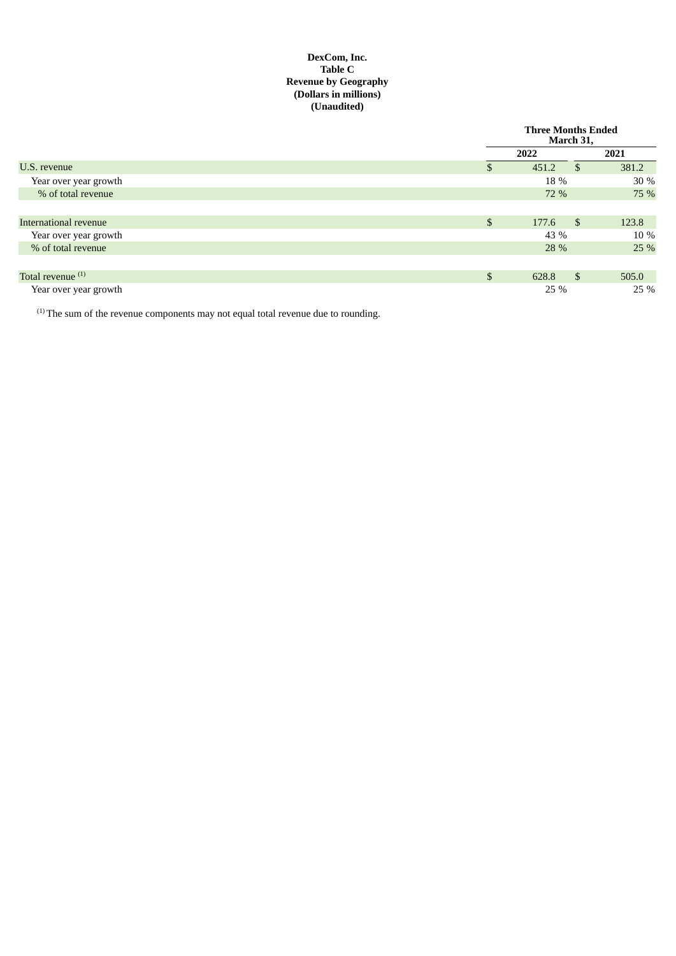## **DexCom, Inc. Table C Revenue by Geography (Dollars in millions) (Unaudited)**

|                              | <b>Three Months Ended</b><br>March 31, |               |       |
|------------------------------|----------------------------------------|---------------|-------|
|                              | 2022                                   |               | 2021  |
| U.S. revenue                 | 451.2                                  | <sup>\$</sup> | 381.2 |
| Year over year growth        | 18 %                                   |               | 30 %  |
| % of total revenue           | 72 %                                   |               | 75 %  |
|                              |                                        |               |       |
| International revenue        | \$<br>177.6                            | \$            | 123.8 |
| Year over year growth        | 43 %                                   |               | 10 %  |
| % of total revenue           | 28 %                                   |               | 25 %  |
|                              |                                        |               |       |
| Total revenue <sup>(1)</sup> | \$<br>628.8                            | $\mathbb{S}$  | 505.0 |
| Year over year growth        | 25 %                                   |               | 25 %  |

 $(1)$  The sum of the revenue components may not equal total revenue due to rounding.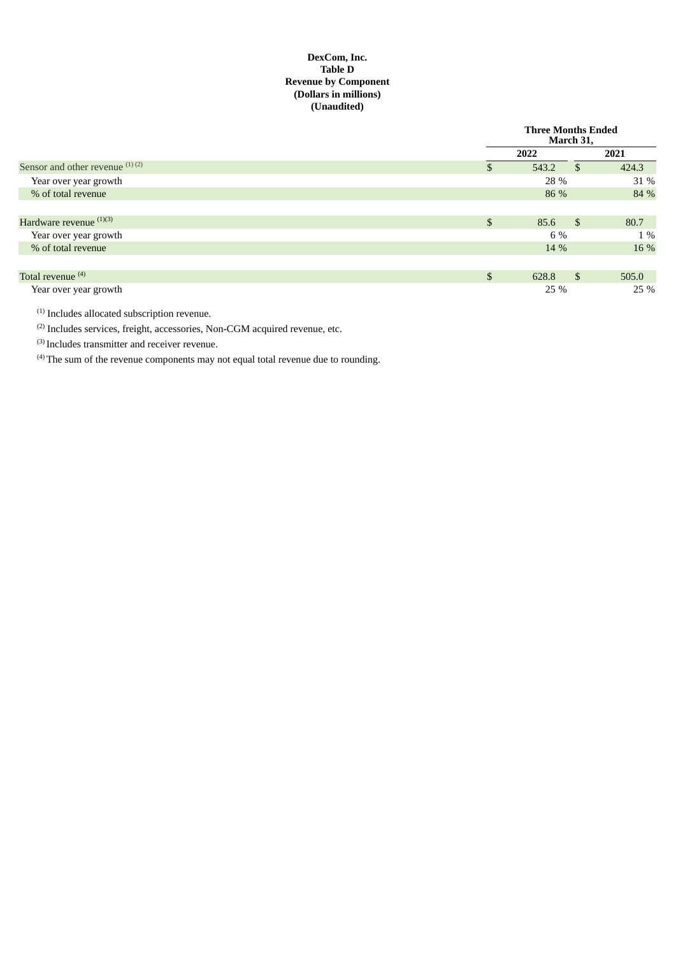## **DexCom, Inc. Table D Revenue by Component (Dollars in millions) (Unaudited)**

|                                 | <b>Three Months Ended</b><br>March 31, |               |       |  |
|---------------------------------|----------------------------------------|---------------|-------|--|
|                                 | 2022                                   |               | 2021  |  |
| Sensor and other revenue (1)(2) | 543.2                                  | <sup>\$</sup> | 424.3 |  |
| Year over year growth           | 28 %                                   |               | 31 %  |  |
| % of total revenue              | 86 %                                   |               | 84 %  |  |
|                                 |                                        |               |       |  |
| Hardware revenue (1)(3)         | \$<br>85.6                             | - \$          | 80.7  |  |
| Year over year growth           | 6 %                                    |               | 1 %   |  |
| % of total revenue              | 14 %                                   |               | 16 %  |  |
|                                 |                                        |               |       |  |
| Total revenue <sup>(4)</sup>    | \$<br>628.8                            | <sup>\$</sup> | 505.0 |  |
| Year over year growth           | 25 %                                   |               | 25 %  |  |

 $<sup>(1)</sup>$  Includes allocated subscription revenue.</sup>

 $^{(2)}$  Includes services, freight, accessories, Non-CGM acquired revenue, etc.

 $^{(3)}$  Includes transmitter and receiver revenue.

 $<sup>(4)</sup>$  The sum of the revenue components may not equal total revenue due to rounding.</sup>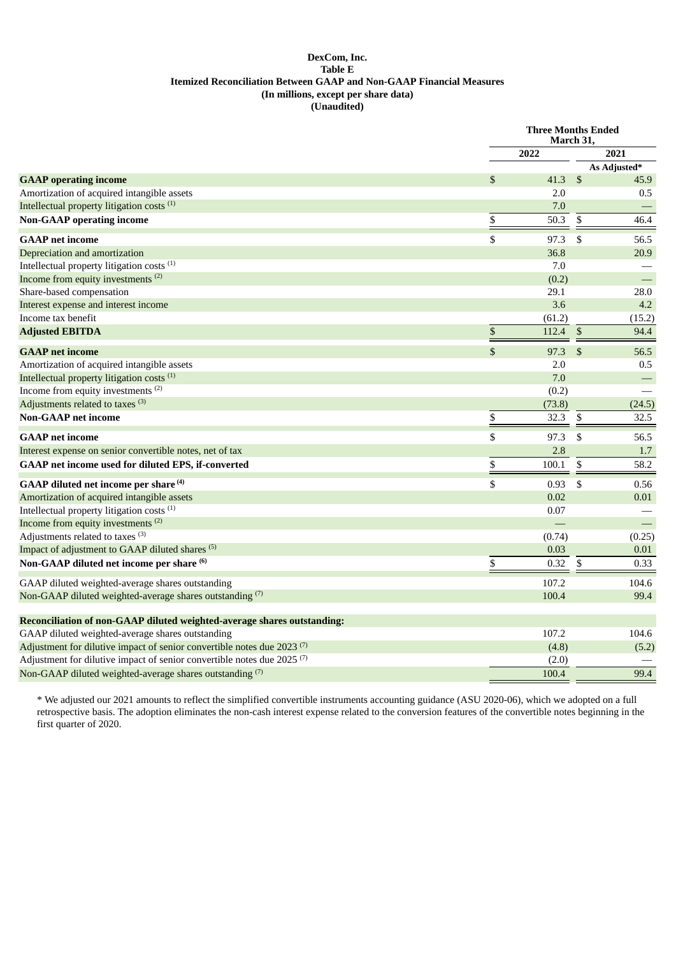#### **DexCom, Inc. Table E Itemized Reconciliation Between GAAP and Non-GAAP Financial Measures (In millions, except per share data) (Unaudited)**

|                                                                                    |                           | <b>Three Months Ended</b><br>March 31, |                |              |
|------------------------------------------------------------------------------------|---------------------------|----------------------------------------|----------------|--------------|
|                                                                                    |                           | 2022                                   |                | 2021         |
|                                                                                    |                           |                                        |                | As Adjusted* |
| <b>GAAP</b> operating income                                                       | \$                        | 41.3                                   | $\mathfrak{S}$ | 45.9         |
| Amortization of acquired intangible assets                                         |                           | 2.0                                    |                | 0.5          |
| Intellectual property litigation costs <sup>(1)</sup>                              |                           | 7.0                                    |                |              |
| <b>Non-GAAP</b> operating income                                                   | \$                        | 50.3                                   | \$             | 46.4         |
| <b>GAAP</b> net income                                                             | \$                        | 97.3                                   | -\$            | 56.5         |
| Depreciation and amortization                                                      |                           | 36.8                                   |                | 20.9         |
| Intellectual property litigation costs <sup>(1)</sup>                              |                           | 7.0                                    |                |              |
| Income from equity investments <sup>(2)</sup>                                      |                           | (0.2)                                  |                |              |
| Share-based compensation                                                           |                           | 29.1                                   |                | 28.0         |
| Interest expense and interest income                                               |                           | 3.6                                    |                | 4.2          |
| Income tax benefit                                                                 |                           | (61.2)                                 |                | (15.2)       |
| <b>Adjusted EBITDA</b>                                                             | $\boldsymbol{\mathbb{S}}$ | 112.4                                  | -\$            | 94.4         |
| <b>GAAP</b> net income                                                             | \$                        | 97.3                                   | \$             | 56.5         |
| Amortization of acquired intangible assets                                         |                           | 2.0                                    |                | 0.5          |
| Intellectual property litigation costs <sup>(1)</sup>                              |                           | 7.0                                    |                |              |
| Income from equity investments <sup>(2)</sup>                                      |                           | (0.2)                                  |                |              |
| Adjustments related to taxes <sup>(3)</sup>                                        |                           | (73.8)                                 |                | (24.5)       |
| <b>Non-GAAP</b> net income                                                         | \$                        | 32.3                                   | \$             | 32.5         |
| <b>GAAP</b> net income                                                             | \$                        | 97.3                                   | \$             | 56.5         |
| Interest expense on senior convertible notes, net of tax                           |                           | 2.8                                    |                | 1.7          |
| GAAP net income used for diluted EPS, if-converted                                 | \$                        | 100.1                                  | \$             | 58.2         |
| GAAP diluted net income per share <sup>(4)</sup>                                   | \$                        | 0.93                                   | -\$            | 0.56         |
| Amortization of acquired intangible assets                                         |                           | 0.02                                   |                | 0.01         |
| Intellectual property litigation costs <sup>(1)</sup>                              |                           | 0.07                                   |                |              |
| Income from equity investments <sup>(2)</sup>                                      |                           |                                        |                |              |
| Adjustments related to taxes <sup>(3)</sup>                                        |                           | (0.74)                                 |                | (0.25)       |
| Impact of adjustment to GAAP diluted shares <sup>(5)</sup>                         |                           | 0.03                                   |                | 0.01         |
| Non-GAAP diluted net income per share (6)                                          | \$                        | 0.32                                   | \$             | 0.33         |
| GAAP diluted weighted-average shares outstanding                                   |                           | 107.2                                  |                | 104.6        |
| Non-GAAP diluted weighted-average shares outstanding (7)                           |                           | 100.4                                  |                | 99.4         |
| Reconciliation of non-GAAP diluted weighted-average shares outstanding:            |                           |                                        |                |              |
| GAAP diluted weighted-average shares outstanding                                   |                           | 107.2                                  |                | 104.6        |
| Adjustment for dilutive impact of senior convertible notes due 2023 <sup>(7)</sup> |                           | (4.8)                                  |                | (5.2)        |
| Adjustment for dilutive impact of senior convertible notes due 2025 (7)            |                           | (2.0)                                  |                |              |
| Non-GAAP diluted weighted-average shares outstanding (7)                           |                           | 100.4                                  |                | 99.4         |
|                                                                                    |                           |                                        |                |              |

\* We adjusted our 2021 amounts to reflect the simplified convertible instruments accounting guidance (ASU 2020-06), which we adopted on a full retrospective basis. The adoption eliminates the non-cash interest expense related to the conversion features of the convertible notes beginning in the first quarter of 2020.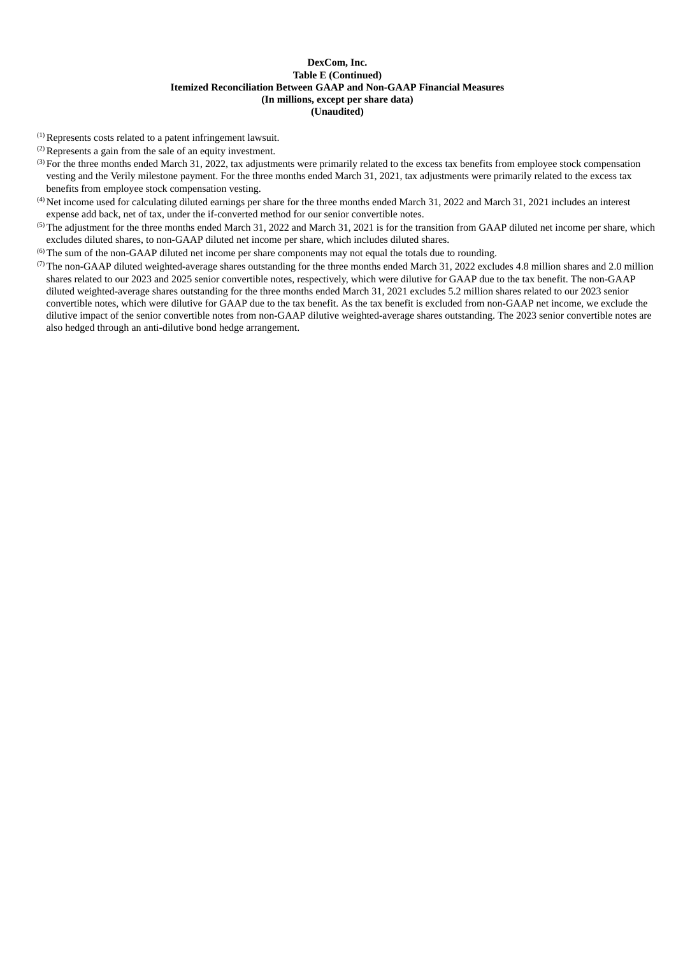#### **DexCom, Inc. Table E (Continued) Itemized Reconciliation Between GAAP and Non-GAAP Financial Measures (In millions, except per share data) (Unaudited)**

 $<sup>(1)</sup>$  Represents costs related to a patent infringement lawsuit.</sup>

 $(2)$  Represents a gain from the sale of an equity investment.

- For the three months ended March 31, 2022, tax adjustments were primarily related to the excess tax benefits from employee stock compensation (3) vesting and the Verily milestone payment. For the three months ended March 31, 2021, tax adjustments were primarily related to the excess tax benefits from employee stock compensation vesting.
- $^{(4)}$  Net income used for calculating diluted earnings per share for the three months ended March 31, 2022 and March 31, 2021 includes an interest expense add back, net of tax, under the if-converted method for our senior convertible notes.
- $(5)$  The adjustment for the three months ended March 31, 2022 and March 31, 2021 is for the transition from GAAP diluted net income per share, which excludes diluted shares, to non-GAAP diluted net income per share, which includes diluted shares.
- $<sup>(6)</sup>$  The sum of the non-GAAP diluted net income per share components may not equal the totals due to rounding.</sup>
- ( $7$ ) The non-GAAP diluted weighted-average shares outstanding for the three months ended March 31, 2022 excludes 4.8 million shares and 2.0 million shares related to our 2023 and 2025 senior convertible notes, respectively, which were dilutive for GAAP due to the tax benefit. The non-GAAP diluted weighted-average shares outstanding for the three months ended March 31, 2021 excludes 5.2 million shares related to our 2023 senior convertible notes, which were dilutive for GAAP due to the tax benefit. As the tax benefit is excluded from non-GAAP net income, we exclude the dilutive impact of the senior convertible notes from non-GAAP dilutive weighted-average shares outstanding. The 2023 senior convertible notes are also hedged through an anti-dilutive bond hedge arrangement.